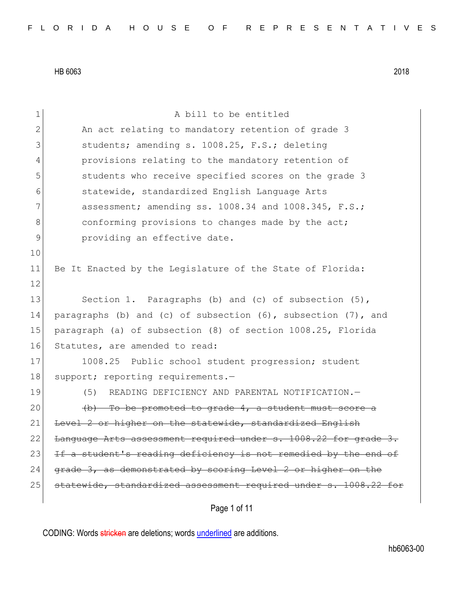| $\mathbf 1$  | A bill to be entitled                                               |
|--------------|---------------------------------------------------------------------|
| $\mathbf{2}$ | An act relating to mandatory retention of grade 3                   |
| 3            | students; amending s. 1008.25, F.S.; deleting                       |
| 4            | provisions relating to the mandatory retention of                   |
| 5            | students who receive specified scores on the grade 3                |
| 6            | statewide, standardized English Language Arts                       |
| 7            | assessment; amending ss. 1008.34 and 1008.345, F.S.;                |
| $\,8\,$      | conforming provisions to changes made by the act;                   |
| 9            | providing an effective date.                                        |
| 10           |                                                                     |
| 11           | Be It Enacted by the Legislature of the State of Florida:           |
| 12           |                                                                     |
| 13           | Section 1. Paragraphs (b) and (c) of subsection $(5)$ ,             |
| 14           | paragraphs (b) and (c) of subsection $(6)$ , subsection $(7)$ , and |
| 15           | paragraph (a) of subsection (8) of section 1008.25, Florida         |
| 16           | Statutes, are amended to read:                                      |
| 17           | 1008.25 Public school student progression; student                  |
| 18           | support; reporting requirements.-                                   |
| 19           | READING DEFICIENCY AND PARENTAL NOTIFICATION.-<br>(5)               |
| 20           | (b) To be promoted to grade 4, a student must score a               |
| 21           | Level 2 or higher on the statewide, standardized English            |
| 22           | Language Arts assessment required under s. 1008.22 for grade 3.     |
| 23           | If a student's reading deficiency is not remedied by the end of     |
| 24           | grade 3, as demonstrated by scoring Level 2 or higher on the        |
| 25           | statewide, standardized assessment required under s. 1008.22 for    |
|              | Page 1 of 11                                                        |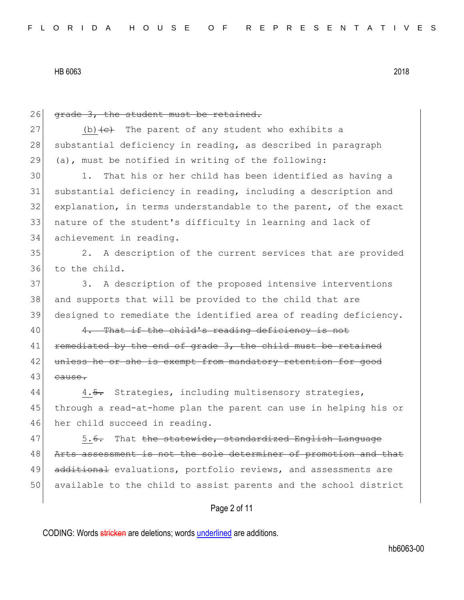Page 2 of 11 26 grade 3, the student must be retained. 27 (b) $\leftarrow$  The parent of any student who exhibits a 28 substantial deficiency in reading, as described in paragraph 29 (a), must be notified in writing of the following: 30 1. That his or her child has been identified as having a 31 substantial deficiency in reading, including a description and 32 explanation, in terms understandable to the parent, of the exact 33 nature of the student's difficulty in learning and lack of 34 achievement in reading. 35 2. A description of the current services that are provided 36 to the child. 37 3. A description of the proposed intensive interventions 38 and supports that will be provided to the child that are 39 designed to remediate the identified area of reading deficiency. 40 4. That if the child's reading deficiency is not 41 **F**emediated by the end of grade 3, the child must be retained 42 unless he or she is exempt from mandatory retention for good 43 eause. 44 4.5. Strategies, including multisensory strategies, 45 through a read-at-home plan the parent can use in helping his or 46 her child succeed in reading. 47 5.6. That the statewide, standardized English Language 48 Arts assessment is not the sole determiner of promotion and that 49 additional evaluations, portfolio reviews, and assessments are 50 available to the child to assist parents and the school district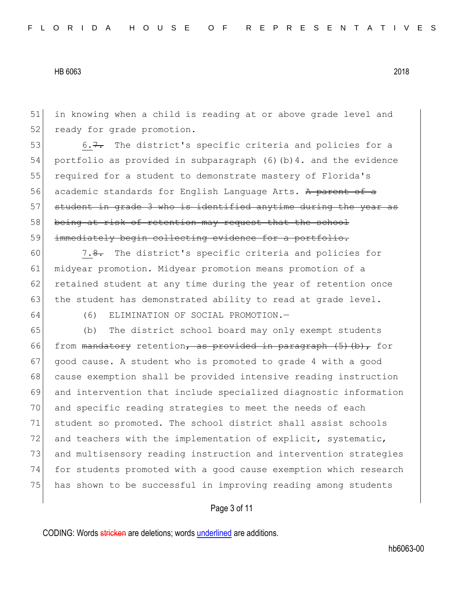51 in knowing when a child is reading at or above grade level and 52 ready for grade promotion.

53 6.7. The district's specific criteria and policies for a 54 portfolio as provided in subparagraph (6)(b)4. and the evidence 55 required for a student to demonstrate mastery of Florida's 56 academic standards for English Language Arts. A parent of a  $57$  student in grade 3 who is identified anytime during the year as 58 being at risk of retention may request that the school 59 immediately begin collecting evidence for a portfolio.

 $60$  7.8. The district's specific criteria and policies for 61 midyear promotion. Midyear promotion means promotion of a 62 retained student at any time during the year of retention once 63 the student has demonstrated ability to read at grade level.

64 (6) ELIMINATION OF SOCIAL PROMOTION.—

 (b) The district school board may only exempt students 66 from <del>mandatory</del> retention<del>, as provided in paragraph (5)(b),</del> for 67 good cause. A student who is promoted to grade 4 with a good cause exemption shall be provided intensive reading instruction and intervention that include specialized diagnostic information and specific reading strategies to meet the needs of each student so promoted. The school district shall assist schools 72 and teachers with the implementation of explicit, systematic, 73 and multisensory reading instruction and intervention strategies for students promoted with a good cause exemption which research has shown to be successful in improving reading among students

# Page 3 of 11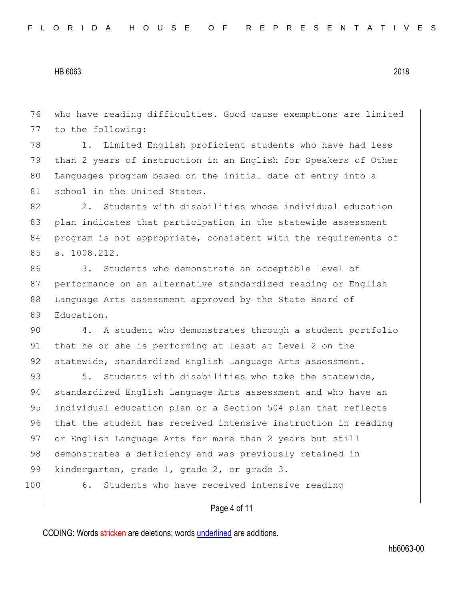76 who have reading difficulties. Good cause exemptions are limited 77 to the following:

78 1. Limited English proficient students who have had less 79 than 2 years of instruction in an English for Speakers of Other 80 Languages program based on the initial date of entry into a 81 school in the United States.

82 2. Students with disabilities whose individual education 83 plan indicates that participation in the statewide assessment 84 program is not appropriate, consistent with the requirements of 85 s. 1008.212.

86 3. Students who demonstrate an acceptable level of 87 performance on an alternative standardized reading or English 88 Language Arts assessment approved by the State Board of 89 Education.

90 4. A student who demonstrates through a student portfolio 91 that he or she is performing at least at Level 2 on the 92 statewide, standardized English Language Arts assessment.

93 5. Students with disabilities who take the statewide, 94 standardized English Language Arts assessment and who have an 95 individual education plan or a Section 504 plan that reflects 96 that the student has received intensive instruction in reading 97 or English Language Arts for more than 2 years but still 98 demonstrates a deficiency and was previously retained in 99 kindergarten, grade 1, grade 2, or grade 3.

100 6. Students who have received intensive reading

# Page 4 of 11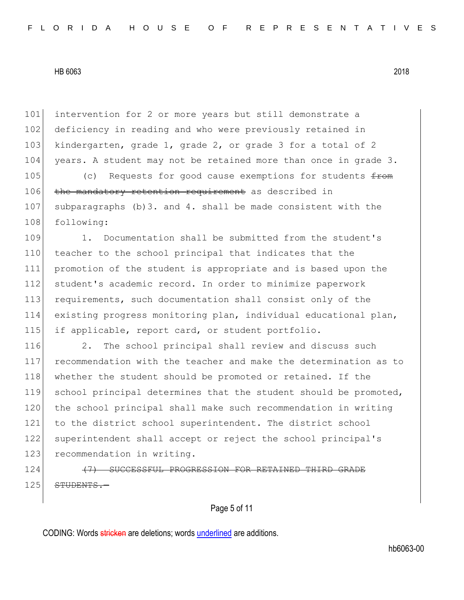101 intervention for 2 or more years but still demonstrate a 102 deficiency in reading and who were previously retained in 103 kindergarten, grade 1, grade 2, or grade 3 for a total of 2 104 years. A student may not be retained more than once in grade 3.

105 (c) Requests for good cause exemptions for students  $f_{\text{r}$ 106 the mandatory retention requirement as described in 107 subparagraphs (b)3. and 4. shall be made consistent with the 108 following:

109 1. Documentation shall be submitted from the student's 110 teacher to the school principal that indicates that the 111 promotion of the student is appropriate and is based upon the 112 student's academic record. In order to minimize paperwork 113 requirements, such documentation shall consist only of the 114 existing progress monitoring plan, individual educational plan, 115 if applicable, report card, or student portfolio.

116 2. The school principal shall review and discuss such 117 recommendation with the teacher and make the determination as to 118 whether the student should be promoted or retained. If the 119 school principal determines that the student should be promoted, 120 the school principal shall make such recommendation in writing 121 to the district school superintendent. The district school 122 superintendent shall accept or reject the school principal's 123 recommendation in writing.

124 (7) SUCCESSFUL PROGRESSION FOR RETAINED THIRD GRADE  $125$   $STUDENTS. -$ 

Page 5 of 11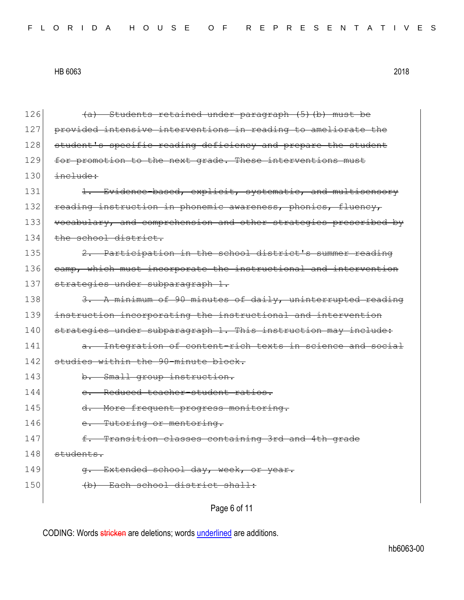| 126 | (a) Students retained under paragraph (5) (b) must be            |
|-----|------------------------------------------------------------------|
| 127 | provided intensive interventions in reading to ameliorate the    |
| 128 | student's specific reading deficiency and prepare the student    |
| 129 | for promotion to the next grade. These interventions must        |
| 130 | include:                                                         |
| 131 | 1. Evidence-based, explicit, systematic, and multisensory        |
| 132 | reading instruction in phonemic awareness, phonics, fluency,     |
| 133 | vocabulary, and comprehension and other strategies prescribed by |
| 134 | the school district.                                             |
| 135 | Participation in the school district's summer reading            |
| 136 | camp, which must incorporate the instructional and intervention  |
| 137 | strategies under subparagraph 1.                                 |
| 138 | 3. A minimum of 90 minutes of daily, uninterrupted reading       |
| 139 | instruction incorporating the instructional and intervention     |
| 140 | strategies under subparagraph 1. This instruction may include:   |
| 141 | a. Integration of content-rich texts in science and social       |
| 142 | studies within the 90-minute block.                              |
| 143 | b. Small group instruction.                                      |
| 144 | e. Reduced teacher-student ratios.                               |
| 145 | $d$ .<br>More frequent progress monitoring.                      |
| 146 | e. Tutoring or mentoring.                                        |
| 147 | f. Transition classes containing 3rd and 4th grade               |
| 148 | students.                                                        |
| 149 | g. Extended school day, week, or year.                           |
| 150 | Each school district shall:                                      |
|     | Page 6 of 11                                                     |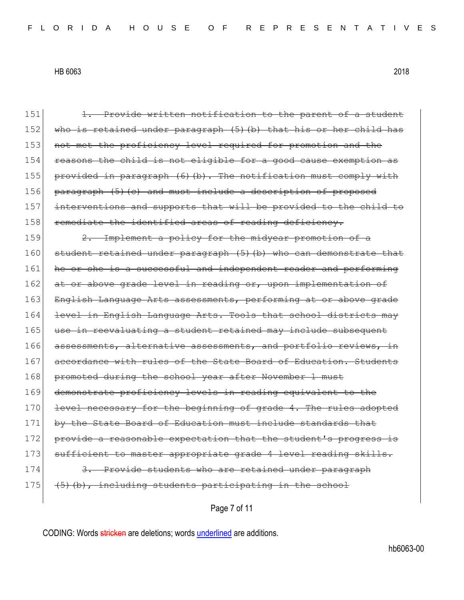151 1. Provide written notification to the parent of a student 152 who is retained under paragraph (5)(b) that his or her child has 153 not met the proficiency level required for promotion and the 154 reasons the child is not eligible for a good cause exemption as 155 provided in paragraph  $(6)$  (b). The notification must comply with 156 paragraph (5) (c) and must include a description of proposed 157 interventions and supports that will be provided to the child to 158 remediate the identified areas of reading deficiency. 159 2. Implement a policy for the midyear promotion of a 160 student retained under paragraph (5) (b) who can demonstrate that 161 he or she is a successful and independent reader and performing 162 at or above grade level in reading or, upon implementation of 163 English Language Arts assessments, performing at or above grade 164 level in English Language Arts. Tools that school districts may 165 use in reevaluating a student retained may include subsequent 166 assessments, alternative assessments, and portfolio reviews, in 167 accordance with rules of the State Board of Education. Students 168 promoted during the school year after November 1 must 169 demonstrate proficiency levels in reading equivalent to the 170 level necessary for the beginning of grade 4. The rules adopted 171 by the State Board of Education must include standards that 172 provide a reasonable expectation that the student's progress is 173 sufficient to master appropriate grade 4 level reading skills. 174 3. Provide students who are retained under paragraph  $175$  (5)(b), including students participating in the school

Page 7 of 11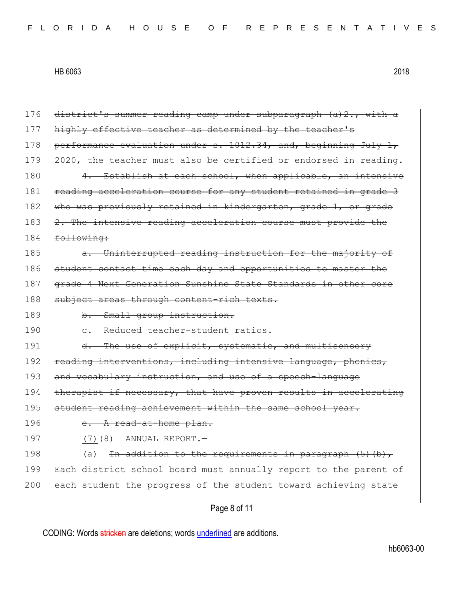| 176 | district's summer reading camp under subparagraph (a) 2., with a |
|-----|------------------------------------------------------------------|
| 177 | highly effective teacher as determined by the teacher's          |
| 178 | performance evaluation under s. 1012.34, and, beginning July 1,  |
| 179 | 2020, the teacher must also be certified or endorsed in reading. |
| 180 | Establish at each school, when applicable, an intensive<br>$4-$  |
| 181 | reading acceleration course for any student retained in grade 3  |
| 182 | who was previously retained in kindergarten, grade 1, or grade   |
| 183 | 2. The intensive reading acceleration course must provide the    |
| 184 | following:                                                       |
| 185 | a. Uninterrupted reading instruction for the majority of         |
| 186 | student contact time each day and opportunities to master the    |
| 187 | grade 4 Next Generation Sunshine State Standards in other core   |
| 188 | subject areas through content-rich texts.                        |
| 189 | b. Small group instruction.                                      |
| 190 | Reduced teacher-student ratios.<br>$e_{\cdot}$                   |
| 191 | d. The use of explicit, systematic, and multisensory             |
| 192 | reading interventions, including intensive language, phonics,    |
| 193 | and vocabulary instruction, and use of a speech-language         |
| 194 | therapist if necessary, that have proven results in accelerating |
| 195 | student reading achievement within the same school year.         |
| 196 | e. A read-at-home plan.                                          |
| 197 | $(7)$ $(8)$ ANNUAL REPORT. -                                     |
| 198 | In addition to the requirements in paragraph (5)(b),<br>(a)      |
| 199 | Each district school board must annually report to the parent of |
| 200 | each student the progress of the student toward achieving state  |
|     | Page 8 of 11                                                     |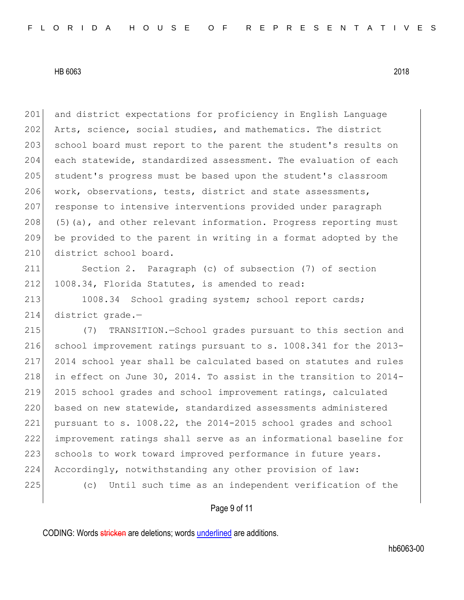201 and district expectations for proficiency in English Language 202 Arts, science, social studies, and mathematics. The district 203 school board must report to the parent the student's results on 204 each statewide, standardized assessment. The evaluation of each 205 student's progress must be based upon the student's classroom 206 work, observations, tests, district and state assessments, 207 response to intensive interventions provided under paragraph  $208$  (5)(a), and other relevant information. Progress reporting must 209 be provided to the parent in writing in a format adopted by the 210 district school board.

211 Section 2. Paragraph (c) of subsection (7) of section 212 1008.34, Florida Statutes, is amended to read:

213 1008.34 School grading system; school report cards; 214 district grade.—

 (7) TRANSITION.—School grades pursuant to this section and school improvement ratings pursuant to s. 1008.341 for the 2013- 2014 school year shall be calculated based on statutes and rules 218 in effect on June 30, 2014. To assist in the transition to 2014- 2015 school grades and school improvement ratings, calculated based on new statewide, standardized assessments administered pursuant to s. 1008.22, the 2014-2015 school grades and school improvement ratings shall serve as an informational baseline for 223 schools to work toward improved performance in future years. Accordingly, notwithstanding any other provision of law: (c) Until such time as an independent verification of the

# Page 9 of 11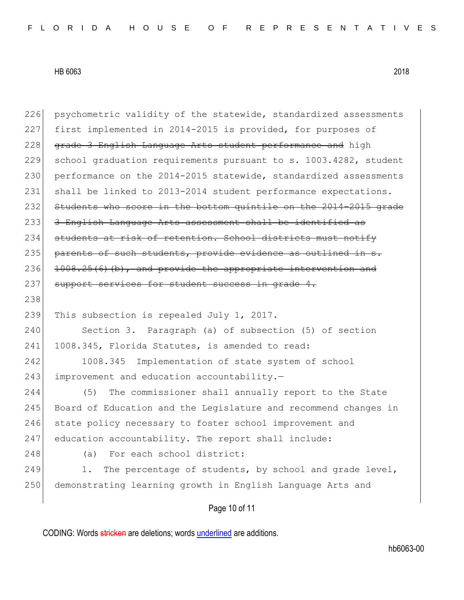| psychometric validity of the statewide, standardized assessments |
|------------------------------------------------------------------|
| first implemented in 2014-2015 is provided, for purposes of      |
| grade 3 English Language Arts student performance and high       |
| school graduation requirements pursuant to s. 1003.4282, student |
| performance on the 2014-2015 statewide, standardized assessments |
| shall be linked to 2013-2014 student performance expectations.   |
| Students who score in the bottom quintile on the 2014-2015 grade |
| 3 English Language Arts assessment shall be identified as        |
| students at risk of retention. School districts must notify      |
| parents of such students, provide evidence as outlined in s.     |
| $1008.25(6)$ (b), and provide the appropriate intervention and   |
| support services for student success in grade 4.                 |
|                                                                  |
| This subsection is repealed July 1, 2017.                        |
| Section 3. Paragraph (a) of subsection (5) of section            |
| 1008.345, Florida Statutes, is amended to read:                  |
| Implementation of state system of school<br>1008.345             |
| improvement and education accountability.-                       |
| The commissioner shall annually report to the State<br>(5)       |
| Board of Education and the Legislature and recommend changes in  |
| state policy necessary to foster school improvement and          |
| education accountability. The report shall include:              |
| For each school district:<br>(a)                                 |
| The percentage of students, by school and grade level,<br>1.     |
| demonstrating learning growth in English Language Arts and       |
|                                                                  |
|                                                                  |